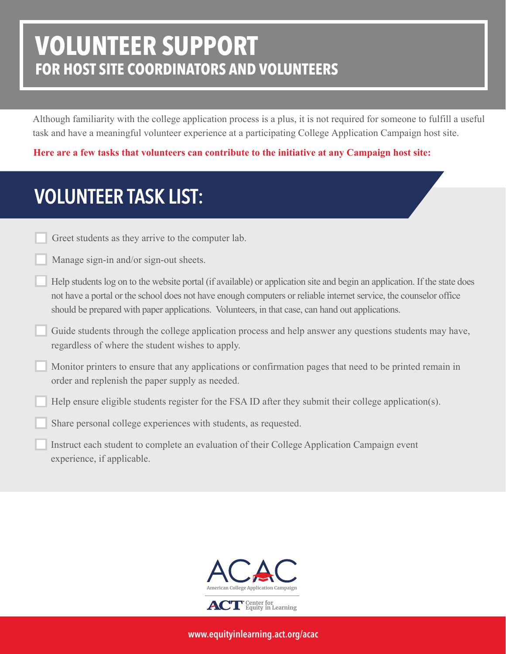## **VOLUNTEER SUPPORT FOR HOST SITE COORDINATORS AND VOLUNTEERS**

Although familiarity with the college application process is a plus, it is not required for someone to fulfill a useful task and have a meaningful volunteer experience at a participating College Application Campaign host site.

**Here are a few tasks that volunteers can contribute to the initiative at any Campaign host site:**

## VOLUNTEER TASK LIST:

Greet students as they arrive to the computer lab.

Manage sign-in and/or sign-out sheets.

- Help students log on to the website portal (if available) or application site and begin an application. If the state does not have a portal or the school does not have enough computers or reliable internet service, the counselor office should be prepared with paper applications. Volunteers, in that case, can hand out applications.
- Guide students through the college application process and help answer any questions students may have, regardless of where the student wishes to apply.
- Monitor printers to ensure that any applications or confirmation pages that need to be printed remain in order and replenish the paper supply as needed.
- Help ensure eligible students register for the FSA ID after they submit their college application(s).

Share personal college experiences with students, as requested.

Instruct each student to complete an evaluation of their College Application Campaign event experience, if applicable.



www.equityinlearning.act.org/acac